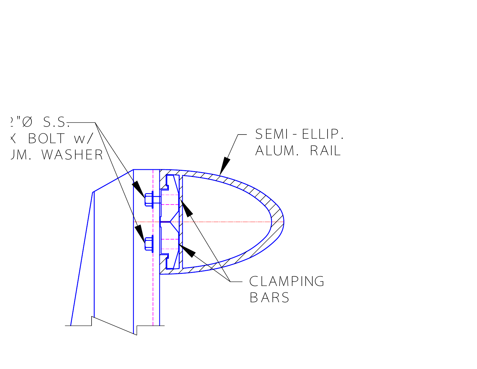